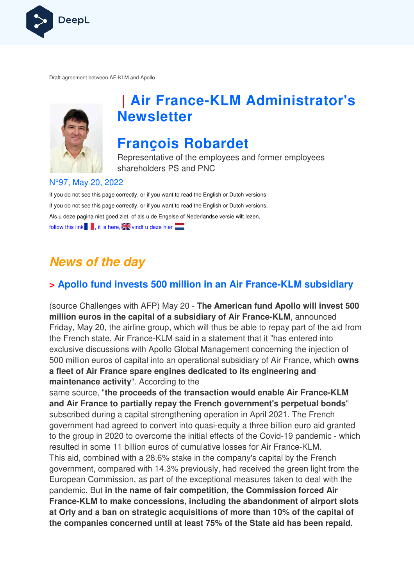

Draft agreement between AF-KLM and Apollo



## **| Air France-KLM Administrator's Newsletter**

## **François Robardet**

Representative of the employees and former employees shareholders PS and PNC

#### N°97, May 20, 2022

If you do not see this page correctly, or if you want to read the English or Dutch versions If you do not see this page correctly, or if you want to read the English or Dutch versions, Als u deze pagina niet goed ziet, of als u de Engelse of Nederlandse versie wilt lezen, follow this link  $\blacksquare$ , it is here,  $\mathbb{Z}$  vindt u deze hier

## **News of the day**

### **> Apollo fund invests 500 million in an Air France France-KLM subsidiary KLM**

(source Challenges with AFP) May 20 - **The American fund Apollo will invest 500 million euros in the capital of a subsidiary of Air France France-KLM**, announced Friday, May 20, the airline group, which will thus be able to repay part of the aid from the French state. Air France-KLM said in a statement that it "has entered into exclusive discussions with Apollo Global Management concerning the injection of 500 million euros of capital into an operational subsidiary of Air France, which **owns a fleet of Air France spare engines dedicated to its engineerin engineering and maintenance activity**". According to the **a fleet of Air France spare engines dedicated to its engineering and<br>maintenance activity". According to the<br>same source, "the proceeds of the transaction would enable Air France-KLM** 

**and Air France to partially repay the French government's perpetual bonds** " subscribed during a capital strengthening operation in April 2021. The French government had agreed to convert into quasi-equity a three billion euro aid granted government had agreed to convert into quasi-equity a three billion euro aid granted<br>to the group in 2020 to overcome the initial effects of the Covid-19 pandemic - which resulted in some 11 billion euros of cumulative losses for Air France-KLM. This aid, combined with a 28.6% stake in the company's capital by the French government, compared with 14.3% previously, had received the green light from the European Commission, as part of the exceptional measures taken to deal with the pandemic. But **in the name of fair competition, the Commission forced Air**  France-KLM to make concessions, including the abandonment of airport slots **at Orly and a ban on strategic acquisitions of more than 10% of the capital of the companies concerned until at least 75% of the State aid has been repaid.**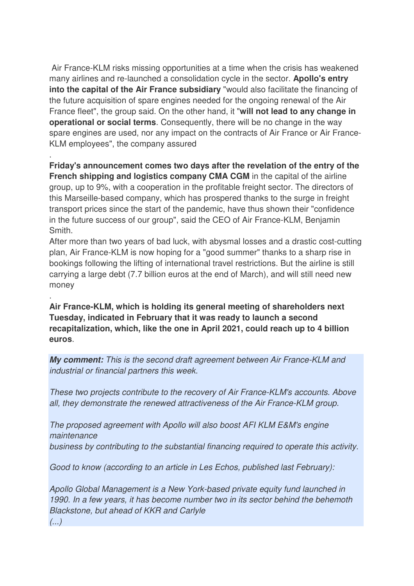Air France-KLM risks missing opportunities at a time when the crisis has weakened many airlines and re-launched a consolidation cycle in the sector. **Apollo's entry into the capital of the Air France subsidiary** "would also facilitate the financing of the future acquisition of spare engines needed for the ongoing renewal of the Air France fleet", the group said. On the other hand, it "**will not lead to any change in operational or social terms**. Consequently, there will be no change in the way spare engines are used, nor any impact on the contracts of Air France or Air France-KLM employees", the company assured

**Friday's announcement comes two days after the revelation of the entry of the French shipping and logistics company CMA CGM** in the capital of the airline group, up to 9%, with a cooperation in the profitable freight sector. The directors of this Marseille-based company, which has prospered thanks to the surge in freight transport prices since the start of the pandemic, have thus shown their "confidence in the future success of our group", said the CEO of Air France-KLM, Benjamin Smith.

After more than two years of bad luck, with abysmal losses and a drastic cost-cutting plan, Air France-KLM is now hoping for a "good summer" thanks to a sharp rise in bookings following the lifting of international travel restrictions. But the airline is still carrying a large debt (7.7 billion euros at the end of March), and will still need new money

**Air France-KLM, which is holding its general meeting of shareholders next Tuesday, indicated in February that it was ready to launch a second recapitalization, which, like the one in April 2021, could reach up to 4 billion euros**.

**My comment:** This is the second draft agreement between Air France-KLM and industrial or financial partners this week.

These two projects contribute to the recovery of Air France-KLM's accounts. Above all, they demonstrate the renewed attractiveness of the Air France-KLM group.

The proposed agreement with Apollo will also boost AFI KLM E&M's engine maintenance business by contributing to the substantial financing required to operate this activity.

Good to know (according to an article in Les Echos, published last February):

Apollo Global Management is a New York-based private equity fund launched in 1990. In a few years, it has become number two in its sector behind the behemoth Blackstone, but ahead of KKR and Carlyle

(...)

.

.